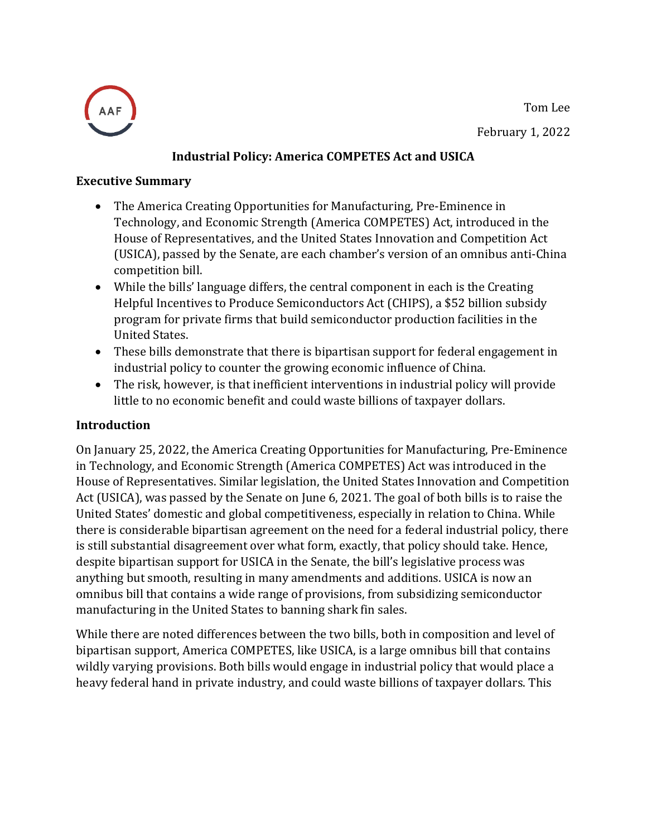Tom Lee





## **Industrial Policy: America COMPETES Act and USICA**

#### **Executive Summary**

- The America Creating Opportunities for Manufacturing, Pre-Eminence in Technology, and Economic Strength (America COMPETES) Act, introduced in the House of Representatives, and the United States Innovation and Competition Act (USICA), passed by the Senate, are each chamber's version of an omnibus anti-China competition bill.
- While the bills' language differs, the central component in each is the Creating Helpful Incentives to Produce Semiconductors Act (CHIPS), a \$52 billion subsidy program for private firms that build semiconductor production facilities in the United States.
- These bills demonstrate that there is bipartisan support for federal engagement in industrial policy to counter the growing economic influence of China.
- The risk, however, is that inefficient interventions in industrial policy will provide little to no economic benefit and could waste billions of taxpayer dollars.

### **Introduction**

On January 25, 2022, the America Creating Opportunities for Manufacturing, Pre-Eminence in Technology, and Economic Strength (America COMPETES) Act was introduced in the House of Representatives. Similar legislation, the [United States Innovation and Competition](https://www.americanactionforum.org/insight/the-united-states-innovation-and-competition-act-usica-a-primer/)  [Act \(USICA\),](https://www.americanactionforum.org/insight/the-united-states-innovation-and-competition-act-usica-a-primer/) was passed by the Senate on June 6, 2021. The goal of both bills is to raise the United States' domestic and global competitiveness, especially in relation to China. While there is considerable bipartisan agreement on the need for a federal industrial policy, there is still substantial disagreement over what form, exactly, that policy should take. Hence, despite bipartisan support for USICA in the Senate, the bill's legislative process was anything but smooth, resulting in many amendments and additions. USICA is now an omnibus bill that contains a wide range of provisions, from subsidizing semiconductor manufacturing in the United States to banning shark fin sales.

While there are noted differences between the two bills, both in composition and level of bipartisan support, America COMPETES, like USICA, is a large omnibus bill that contains wildly varying provisions. Both bills would engage in industrial policy that would place a heavy federal hand in private industry, and could waste billions of taxpayer dollars. This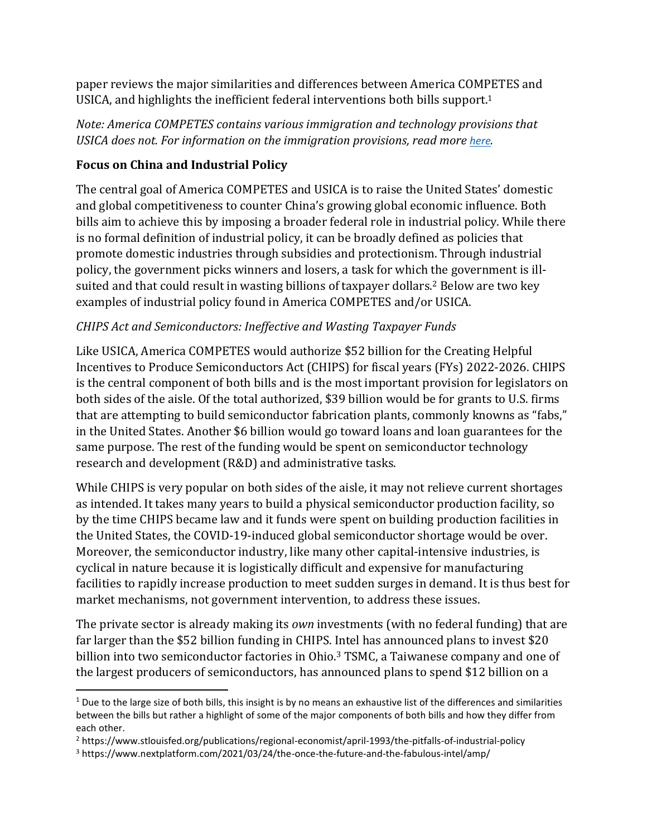paper reviews the major similarities and differences between America COMPETES and USICA, and highlights the inefficient federal interventions both bills support. 1

*Note: America COMPETES contains various immigration and technology provisions that USICA does not. For information on the immigration provisions, read more [here](https://www.americanactionforum.org/insight/immigration-reform-in-the-america-competes-act-of-2022/).* 

# **Focus on China and Industrial Policy**

The central goal of America COMPETES and USICA is to raise the United States' domestic and global competitiveness to counter China's growing global economic influence. Both bills aim to achieve this by imposing a broader federal role in industrial policy. While there is no formal definition of industrial policy, it can be broadly defined as policies that promote domestic industries through subsidies and protectionism. Through industrial policy, the government picks winners and losers, a task for which the government is illsuited and that could result in wasting billions of taxpayer dollars. <sup>2</sup> Below are two key examples of industrial policy found in America COMPETES and/or USICA.

## *CHIPS Act and Semiconductors: Ineffective and Wasting Taxpayer Funds*

Like USICA, America COMPETES would authorize \$52 billion for the Creating Helpful Incentives to Produce Semiconductors Act (CHIPS) for fiscal years (FYs) 2022-2026. CHIPS is the central component of both bills and is the most important provision for legislators on both sides of the aisle. Of the total authorized, \$39 billion would be for grants to U.S. firms that are attempting to build semiconductor fabrication plants, commonly knowns as "fabs," in the United States. Another \$6 billion would go toward loans and loan guarantees for the same purpose. The rest of the funding would be spent on semiconductor technology research and development (R&D) and administrative tasks.

While CHIPS is very popular on both sides of the aisle, it may not relieve current shortages as intended. It takes many years to build a physical semiconductor production facility, so by the time CHIPS became law and it funds were spent on building production facilities in the United States, the COVID-19-induced global semiconductor shortage would be over. Moreover, the semiconductor industry, like many other capital-intensive industries, is cyclical in nature because it is logistically difficult and expensive for manufacturing facilities to rapidly increase production to meet sudden surges in demand. It is thus best for market mechanisms, not government intervention, to address these issues.

The private sector is already making its *own* investments (with no federal funding) that are far larger than the \$52 billion funding in CHIPS. Intel has announced plans to invest \$20 billion into two semiconductor factories in Ohio. <sup>3</sup> TSMC, a Taiwanese company and one of the largest producers of semiconductors, has announced plans to spend \$12 billion on a

 $1$  Due to the large size of both bills, this insight is by no means an exhaustive list of the differences and similarities between the bills but rather a highlight of some of the major components of both bills and how they differ from each other.

<sup>2</sup> https://www.stlouisfed.org/publications/regional-economist/april-1993/the-pitfalls-of-industrial-policy

<sup>3</sup> https://www.nextplatform.com/2021/03/24/the-once-the-future-and-the-fabulous-intel/amp/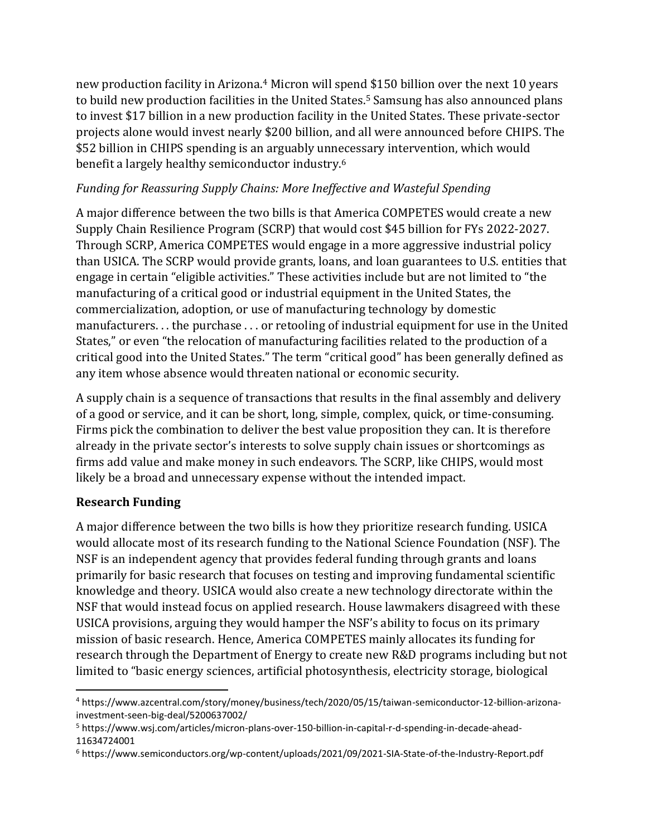new production facility in Arizona. <sup>4</sup> Micron will spend \$150 billion over the next 10 years to build new production facilities in the United States.<sup>5</sup> Samsung has also announced plans to invest \$17 billion in a new production facility in the United States. These private-sector projects alone would invest nearly \$200 billion, and all were announced before CHIPS. The \$52 billion in CHIPS spending is an arguably unnecessary intervention, which would benefit a largely healthy semiconductor industry. 6

## *Funding for Reassuring Supply Chains: More Ineffective and Wasteful Spending*

A major difference between the two bills is that America COMPETES would create a new Supply Chain Resilience Program (SCRP) that would cost \$45 billion for FYs 2022-2027. Through SCRP, America COMPETES would engage in a more aggressive industrial policy than USICA. The SCRP would provide grants, loans, and loan guarantees to U.S. entities that engage in certain "eligible activities." These activities include but are not limited to "the manufacturing of a critical good or industrial equipment in the United States, the commercialization, adoption, or use of manufacturing technology by domestic manufacturers. . . the purchase . . . or retooling of industrial equipment for use in the United States," or even "the relocation of manufacturing facilities related to the production of a critical good into the United States." The term "critical good" has been generally defined as any item whose absence would threaten national or economic security.

A supply chain is a sequence of transactions that results in the final assembly and delivery of a good or service, and it can be short, long, simple, complex, quick, or time-consuming. Firms pick the combination to deliver the best value proposition they can. It is therefore already in the private sector's interests to solve supply chain issues or shortcomings as firms add value and make money in such endeavors. The SCRP, like CHIPS, would most likely be a broad and unnecessary expense without the intended impact.

### **Research Funding**

A major difference between the two bills is how they prioritize research funding. USICA would allocate most of its research funding to the National Science Foundation (NSF). The NSF is an independent agency that provides federal funding through grants and loans primarily for basic research that focuses on testing and improving fundamental scientific knowledge and theory. USICA would also create a new technology directorate within the NSF that would instead focus on applied research. House lawmakers disagreed with these USICA provisions, arguing they would hamper the NSF's ability to focus on its primary mission of basic research. Hence, America COMPETES mainly allocates its funding for research through the Department of Energy to create new R&D programs including but not limited to "basic energy sciences, artificial photosynthesis, electricity storage, biological

<sup>4</sup> https://www.azcentral.com/story/money/business/tech/2020/05/15/taiwan-semiconductor-12-billion-arizonainvestment-seen-big-deal/5200637002/

<sup>5</sup> https://www.wsj.com/articles/micron-plans-over-150-billion-in-capital-r-d-spending-in-decade-ahead-11634724001

<sup>6</sup> https://www.semiconductors.org/wp-content/uploads/2021/09/2021-SIA-State-of-the-Industry-Report.pdf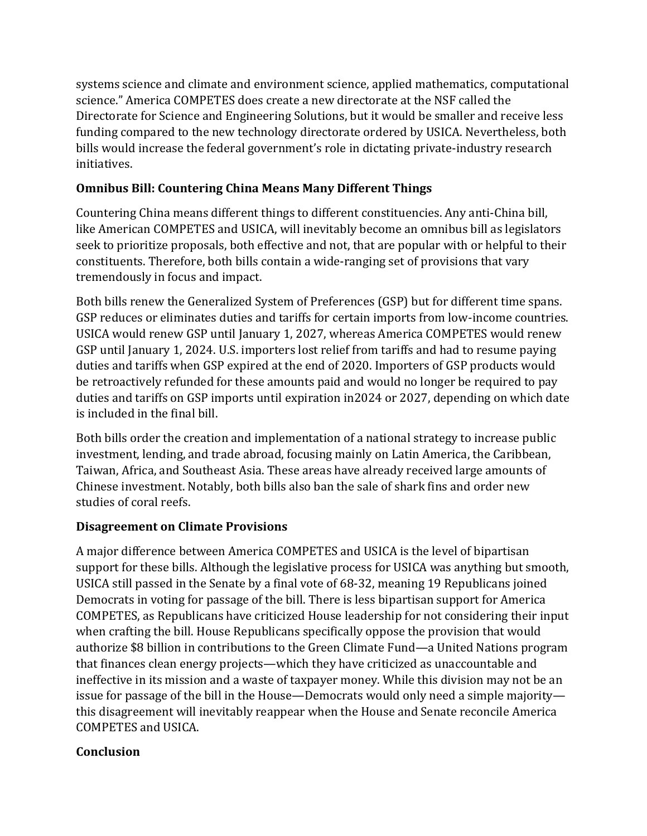systems science and climate and environment science, applied mathematics, computational science." America COMPETES does create a new directorate at the NSF called the Directorate for Science and Engineering Solutions, but it would be smaller and receive less funding compared to the new technology directorate ordered by USICA. Nevertheless, both bills would increase the federal government's role in dictating private-industry research initiatives.

## **Omnibus Bill: Countering China Means Many Different Things**

Countering China means different things to different constituencies. Any anti-China bill, like American COMPETES and USICA, will inevitably become an omnibus bill as legislators seek to prioritize proposals, both effective and not, that are popular with or helpful to their constituents. Therefore, both bills contain a wide-ranging set of provisions that vary tremendously in focus and impact.

Both bills renew the Generalized System of Preferences (GSP) but for different time spans. GSP reduces or eliminates duties and tariffs for certain imports from low-income countries. USICA would renew GSP until January 1, 2027, whereas America COMPETES would renew GSP until January 1, 2024. U.S. importers lost relief from tariffs and had to resume paying duties and tariffs when GSP expired at the end of 2020. Importers of GSP products would be retroactively refunded for these amounts paid and would no longer be required to pay duties and tariffs on GSP imports until expiration in2024 or 2027, depending on which date is included in the final bill.

Both bills order the creation and implementation of a national strategy to increase public investment, lending, and trade abroad, focusing mainly on Latin America, the Caribbean, Taiwan, Africa, and Southeast Asia. These areas have already received large amounts of Chinese investment. Notably, both bills also ban the sale of shark fins and order new studies of coral reefs.

### **Disagreement on Climate Provisions**

A major difference between America COMPETES and USICA is the level of bipartisan support for these bills. Although the legislative process for USICA was anything but smooth, USICA still passed in the Senate by a final vote of 68-32, meaning 19 Republicans joined Democrats in voting for passage of the bill. There is less bipartisan support for America COMPETES, as Republicans have criticized House leadership for not considering their input when crafting the bill. House Republicans specifically oppose the provision that would authorize \$8 billion in contributions to the Green Climate Fund—a United Nations program that finances clean energy projects—which they have criticized as unaccountable and ineffective in its mission and a waste of taxpayer money. While this division may not be an issue for passage of the bill in the House—Democrats would only need a simple majority this disagreement will inevitably reappear when the House and Senate reconcile America COMPETES and USICA.

### **Conclusion**